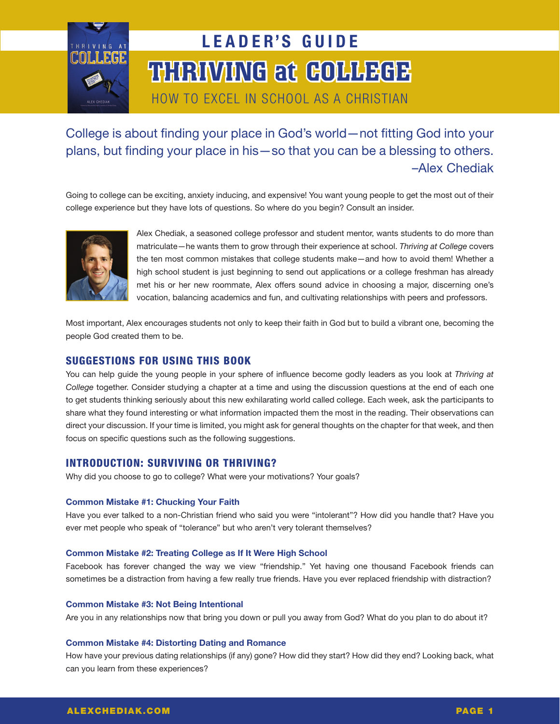

# THIRINANG at GOLLEGE LEADER'S GUIDE

How to Excel in School as a Christian

College is about finding your place in God's world—not fitting God into your plans, but finding your place in his—so that you can be a blessing to others. –Alex Chediak

Going to college can be exciting, anxiety inducing, and expensive! You want young people to get the most out of their college experience but they have lots of questions. So where do you begin? Consult an insider.



Alex Chediak, a seasoned college professor and student mentor, wants students to do more than matriculate—he wants them to grow through their experience at school. *Thriving at College* covers the ten most common mistakes that college students make—and how to avoid them! Whether a high school student is just beginning to send out applications or a college freshman has already met his or her new roommate, Alex offers sound advice in choosing a major, discerning one's vocation, balancing academics and fun, and cultivating relationships with peers and professors.

Most important, Alex encourages students not only to keep their faith in God but to build a vibrant one, becoming the people God created them to be.

# Suggestions for Using This Book

You can help guide the young people in your sphere of influence become godly leaders as you look at *Thriving at College* together. Consider studying a chapter at a time and using the discussion questions at the end of each one to get students thinking seriously about this new exhilarating world called college. Each week, ask the participants to share what they found interesting or what information impacted them the most in the reading. Their observations can direct your discussion. If your time is limited, you might ask for general thoughts on the chapter for that week, and then focus on specific questions such as the following suggestions.

# Introduction: Surviving or Thriving?

Why did you choose to go to college? What were your motivations? Your goals?

## **Common Mistake #1: Chucking Your Faith**

Have you ever talked to a non-Christian friend who said you were "intolerant"? How did you handle that? Have you ever met people who speak of "tolerance" but who aren't very tolerant themselves?

## **Common Mistake #2: Treating College as If It Were High School**

Facebook has forever changed the way we view "friendship." Yet having one thousand Facebook friends can sometimes be a distraction from having a few really true friends. Have you ever replaced friendship with distraction?

## **Common Mistake #3: Not Being Intentional**

Are you in any relationships now that bring you down or pull you away from God? What do you plan to do about it?

## **Common Mistake #4: Distorting Dating and Romance**

How have your previous dating relationships (if any) gone? How did they start? How did they end? Looking back, what can you learn from these experiences?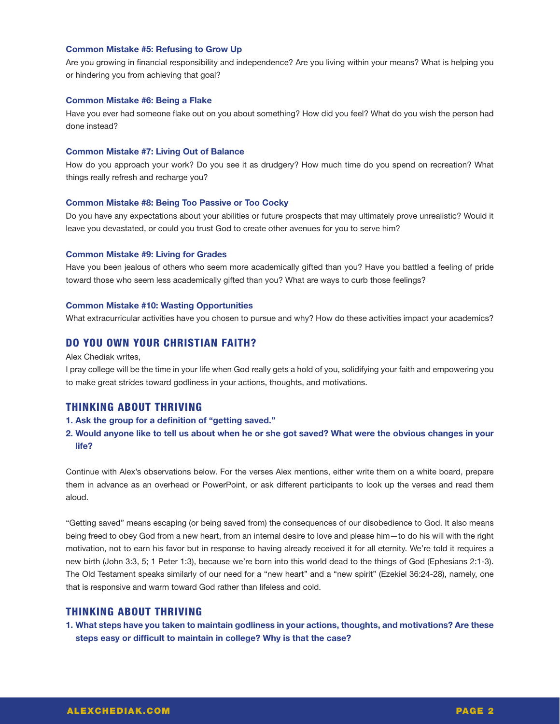## **Common Mistake #5: Refusing to Grow Up**

Are you growing in financial responsibility and independence? Are you living within your means? What is helping you or hindering you from achieving that goal?

## **Common Mistake #6: Being a Flake**

Have you ever had someone flake out on you about something? How did you feel? What do you wish the person had done instead?

#### **Common Mistake #7: Living Out of Balance**

How do you approach your work? Do you see it as drudgery? How much time do you spend on recreation? What things really refresh and recharge you?

#### **Common Mistake #8: Being Too Passive or Too Cocky**

Do you have any expectations about your abilities or future prospects that may ultimately prove unrealistic? Would it leave you devastated, or could you trust God to create other avenues for you to serve him?

#### **Common Mistake #9: Living for Grades**

Have you been jealous of others who seem more academically gifted than you? Have you battled a feeling of pride toward those who seem less academically gifted than you? What are ways to curb those feelings?

#### **Common Mistake #10: Wasting Opportunities**

What extracurricular activities have you chosen to pursue and why? How do these activities impact your academics?

# Do You Own Your Christian Faith?

#### Alex Chediak writes,

I pray college will be the time in your life when God really gets a hold of you, solidifying your faith and empowering you to make great strides toward godliness in your actions, thoughts, and motivations.

# Thinking about Thriving

#### **1. Ask the group for a definition of "getting saved."**

# **2. Would anyone like to tell us about when he or she got saved? What were the obvious changes in your life?**

Continue with Alex's observations below. For the verses Alex mentions, either write them on a white board, prepare them in advance as an overhead or PowerPoint, or ask different participants to look up the verses and read them aloud.

"Getting saved" means escaping (or being saved from) the consequences of our disobedience to God. It also means being freed to obey God from a new heart, from an internal desire to love and please him—to do his will with the right motivation, not to earn his favor but in response to having already received it for all eternity. We're told it requires a new birth (John 3:3, 5; 1 Peter 1:3), because we're born into this world dead to the things of God (Ephesians 2:1-3). The Old Testament speaks similarly of our need for a "new heart" and a "new spirit" (Ezekiel 36:24-28), namely, one that is responsive and warm toward God rather than lifeless and cold.

# Thinking about Thriving

**1. What steps have you taken to maintain godliness in your actions, thoughts, and motivations? Are these steps easy or difficult to maintain in college? Why is that the case?**